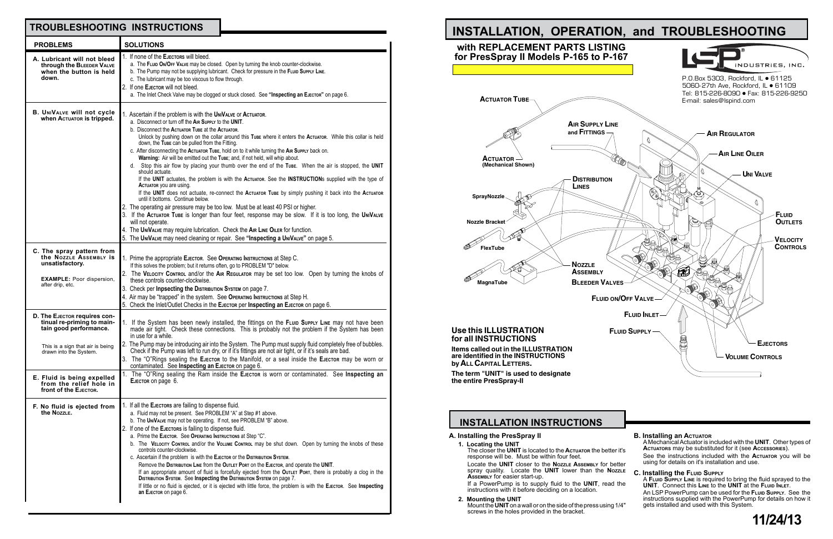### **INSTALLATION INSTRUCTIONS**

**A. Installing the PresSpray II**

**1. Locating the UNIT** The closer the **UNIT** is located to the **Actuator** the better it's response will be. Must be within four feet. Locate the **UNIT** closer to the **Nozzle Assembly** for better spray quality. Locate the **UNIT** lower than the **Nozzle**

**Assembly** for easier start-up. If a PowerPump is to supply fluid to the **UNIT**, read the instructions with it before deciding on a location.

**2. Mounting the UNIT** Mount the**UNIT**on a wall or on the side of the press using 1/4" screws in the holes provided in the bracket.

| er it's<br>better               | <b>B. Installing an ACTUATOR</b><br>A Mechanical Actuator is included with the UNIT. Other types of<br><b>ACTUATORS MAY be substituted for it (see ACCESSORIES).</b><br>See the instructions included with the <b>ACTUATOR</b> you will be<br>using for details on it's installation and use.                                               |
|---------------------------------|---------------------------------------------------------------------------------------------------------------------------------------------------------------------------------------------------------------------------------------------------------------------------------------------------------------------------------------------|
| <b>OZZLE</b><br>d the<br>ว 1/4" | C. Installing the FLUID SUPPLY<br>A FLUID SUPPLY LINE is required to bring the fluid sprayed to the<br>UNIT. Connect this Line to the UNIT at the FLUID INLET.<br>An LSP PowerPump can be used for the FLUID SUPPLY. See the<br>instructions supplied with the PowerPump for details on how it<br>gets installed and used with this System. |
|                                 | 11/24/13                                                                                                                                                                                                                                                                                                                                    |



| <b>PROBLEMS</b>                                                                                                                                                                                                                      | <b>SOLUTIONS</b>                                                                                                                                                                                                                                                                                                                                                                                                                                                                                                                                                                                                                                                                                                                                                                                                                                                                                                                                                                                                                                                                                                                                                                                                                                                                                                                                |
|--------------------------------------------------------------------------------------------------------------------------------------------------------------------------------------------------------------------------------------|-------------------------------------------------------------------------------------------------------------------------------------------------------------------------------------------------------------------------------------------------------------------------------------------------------------------------------------------------------------------------------------------------------------------------------------------------------------------------------------------------------------------------------------------------------------------------------------------------------------------------------------------------------------------------------------------------------------------------------------------------------------------------------------------------------------------------------------------------------------------------------------------------------------------------------------------------------------------------------------------------------------------------------------------------------------------------------------------------------------------------------------------------------------------------------------------------------------------------------------------------------------------------------------------------------------------------------------------------|
| A. Lubricant will not bleed<br>through the BLEEDER VALVE<br>when the button is held<br>down.                                                                                                                                         | 1. If none of the EJECTORS will bleed.<br>a. The FLUID ON/OFF VALVE may be closed. Open by turning the knob counter-clockwise.<br>b. The Pump may not be supplying lubricant. Check for pressure in the FLUID SuppLy LINE.<br>c. The lubricant may be too viscous to flow through.<br>2. If one EJECTOR will not bleed.<br>a. The Inlet Check Valve may be clogged or stuck closed. See "Inspecting an EJECTOR" on page 6.                                                                                                                                                                                                                                                                                                                                                                                                                                                                                                                                                                                                                                                                                                                                                                                                                                                                                                                      |
| <b>B. UNIVALVE WIll not cycle</b><br>When ACTUATOR is tripped.                                                                                                                                                                       | 1. Ascertain if the problem is with the UNIVALVE OF ACTUATOR.<br>a. Disconnect or turn off the AIR Supply to the UNIT.<br>b. Disconnect the ACTUATOR TUBE at the ACTUATOR.<br>Unlock by pushing down on the collar around this Tube where it enters the Actuator. While this collar is held<br>down, the TUBE can be pulled from the Fitting.<br>c. After disconnecting the Actuator Tube, hold on to it while turning the AIR Supply back on.<br>Warning: Air will be emitted out the Tube; and, if not held, will whip about.<br>d. Stop this air flow by placing your thumb over the end of the Tube. When the air is stopped, the UNIT<br>should actuate.<br>If the UNIT actuates, the problem is with the Actuaror. See the INSTRUCTIONs supplied with the type of<br>ACTUATOR you are using.<br>If the UNIT does not actuate, re-connect the Actuator Tube by simply pushing it back into the Actuator<br>until it bottoms. Continue below.<br>2. The operating air pressure may be too low. Must be at least 40 PSI or higher.<br>3. If the Actuator Tube is longer than four feet, response may be slow. If it is too long, the UNIVALVE<br>will not operate.<br>4. The UNIVALVE may require lubrication. Check the AIR LINE OILER for function.<br>5. The UNIVALVE may need cleaning or repair. See "Inspecting a UNIVALVE" on page 5. |
| C. The spray pattern from<br>the NozzLE ASSEMBLY IS<br>unsatisfactory.<br><b>EXAMPLE:</b> Poor dispersion,<br>after drip, etc.                                                                                                       | 1. Prime the appropriate EJECTOR. See OPERATING INSTRUCTIONS at Step C.<br>If this solves the problem; but it returns often, go to PROBLEM "D" below.<br>2. The VELOCITY CONTROL and/or the AIR REGULATOR may be set too low. Open by turning the knobs of<br>these controls counter-clockwise.<br>3. Check per Inpsecting the DISTRIBUTION SYSTEM ON page 7.<br>4. Air may be "trapped" in the system. See OPERATING INSTRUCTIONS at Step H.<br>5. Check the Inlet/Outlet Checks in the EJECTOR per Inspecting an EJECTOR ON page 6.                                                                                                                                                                                                                                                                                                                                                                                                                                                                                                                                                                                                                                                                                                                                                                                                           |
| D. The EJECTOR requires con-<br>tinual re-priming to main-<br>tain good performance.<br>This is a sign that air is being<br>drawn into the System.<br>E. Fluid is being expelled<br>from the relief hole in<br>front of the EJECTOR. | 1. If the System has been newly installed, the fittings on the FLUID SUPPLY LINE may not have been<br>made air tight. Check these connections. This is probably not the problem if the System has been<br>in use for a while.<br>2. The Pump may be introducing air into the System. The Pump must supply fluid completely free of bubbles.<br>Check if the Pump was left to run dry, or if it's fittings are not air tight, or if it's seals are bad.<br>3. The "O"Rings sealing the EJECTOR to the Manifold, or a seal inside the EJECTOR may be worn or<br>contaminated. See Inspecting an EJECTOR ON page 6.<br>The "O"Ring sealing the Ram inside the EJECTOR is worn or contaminated. See Inspecting an<br>EJECTOR ON page 6.                                                                                                                                                                                                                                                                                                                                                                                                                                                                                                                                                                                                             |
| F. No fluid is ejected from<br>the NozzLE.                                                                                                                                                                                           | 1. If all the EJECTORS are failing to dispense fluid.<br>a. Fluid may not be present. See PROBLEM "A" at Step #1 above.<br>b. The UNIVALVE may not be operating. If not, see PROBLEM "B" above.<br>2. If one of the EJECTORS is failing to dispense fluid.<br>a. Prime the EJECTOR. See OPERATING INSTRUCTIONS at Step "C".<br>b. The VELOCITY CONTROL and/or the VOLUME CONTROL may be shut down. Open by turning the knobs of these<br>controls counter-clockwise.<br>c. Ascertain if the problem is with the EJECTOR OF the DISTRIBUTION SYSTEM.<br>Remove the Distribution Line from the Outlet Port on the EJECTOR, and operate the UNIT.<br>If an appropriate amount of fluid is forcefully ejected from the OUTLET PORT, there is probably a clog in the<br>DISTRIBUTION SYSTEM. See Inspecting the DISTRIBUTION SYSTEM ON page 7.<br>If little or no fluid is ejected, or it is ejected with little force, the problem is with the EJECTOR. See Inspecting<br>an EJECTOR ON page 6.                                                                                                                                                                                                                                                                                                                                                     |

## **TROUBLESHOOTING INSTRUCTIONS**

### **Use this ILLUSTRATION for all INSTRUCTIONS**

**Items called out in the ILLUSTRATION are identified in the INSTRUCTIONS byALLCAPITAL LETTERS.**

**The term "UNIT" is used to designate the entire PresSpray-II**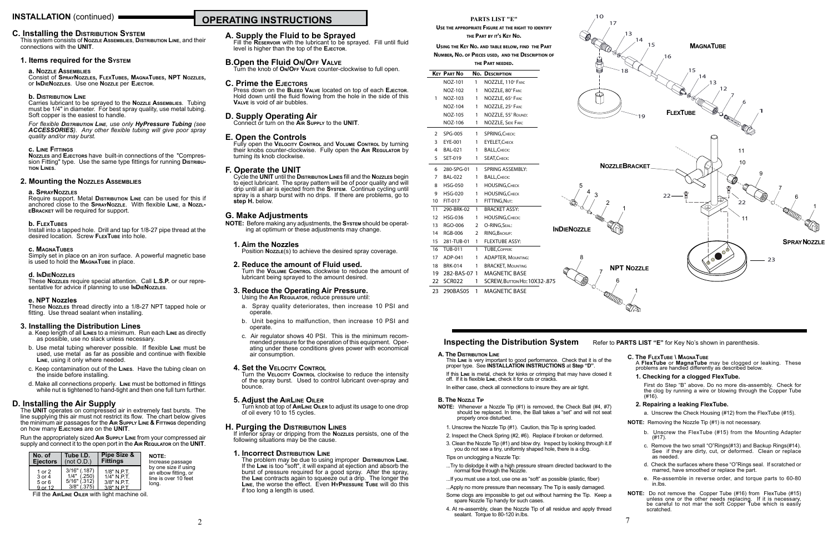## **OPERATING INSTRUCTIONS INSTALLATION** (continued)

### **A. Supply the Fluid to be Sprayed**

Fill the **Reservoir** with the lubricant to be sprayed. Fill until fluid level is higher than the top of the **Ejector**.

### **B.Open the Fluid On/Off Valve**

Press down on the **BLEED VALVE** located on top of each **EJECTOR.** Hold down until the fluid flowing from the hole in the side of this **Valve** is void of air bubbles.

Turn the knob of **On/Off Valve** counter-clockwise to full open.

### **C. Prime the Ejectors**

Cycle the **UNIT** until the **Distribution Lines** fill and the **Nozzles** begin to eject lubricant. The spray pattern will be of poor quality and will drip until all air is ejected from the **System**. Continue cycling until spray is a sharp burst with no drips. If there are problems, go to step H. below.

**D. Supply Operating Air** Connect or turn on the **Air Supply** to the **UNIT**.

### **E. Open the Controls**

Fully open the **Velocity Control** and **Volume Control** by turning their knobs counter-clockwise. Fully open the **Air Regulator** by turning its knob clockwise.

### **F. Operate the UNIT**

### **G. Make Adjustments**

If inferior spray or dripping from the **Nozzles** persists, one of the following situations may be the cause.

**NOTE:** Before making any adjustments, the **System** should be operat- ing at optimum or these adjustments may change.

### **1. Aim the Nozzles**

Position **Nozzle**(s) to achieve the desired spray coverage.

### **2. Reduce the amount of Fluid used.**

Turn the **Volume Control** clockwise to reduce the amount of lubricant being sprayed to the amount desired.

### **3. Reduce the Operating Air Pressure.** Using the **Air Regulator**, reduce pressure until:

- a. Spray quality deteriorates, then increase 10 PSI and operate.
- b. Unit begins to malfunction, then increase 10 PSI and operate.
- c. Air regulator shows 40 PSI. This is the minimum recom- mended pressure for the operation of this equipment. Oper- ating under these conditions gives power with economical air consumption.

### **4. Set the Velocity Control**

Require support. Metal **Distribution** Line can be used for this if anchored close to the **SprayNozzle**. With flexible **Line**, a **NozzleBracket** will be required for support.

Install into a tapped hole. Drill and tap for 1/8-27 pipe thread at the desired location. Screw FLEXTUBE into hole.

Simply set in place on an iron surface. A powerful magnetic base is used to hold the **MAGNATUBE** in place.

> Turn the **Velocity Control** clockwise to reduce the intensity of the spray burst. Used to control lubricant over-spray and bounce.

### **5. Adjust the AirLine Oiler**

Turn knob at top of **AirLine Oiler** to adjust its usage to one drop of oil every 10 to 15 cycles.

- a. Keep length of all **Lines** to a minimum. Run each **Line** as directly as possible, use no slack unless necessary.
- b. Use metal tubing wherever possible. If flexible **Line** must be used, use metal as far as possible and continue with flexible **Line**, using it only where needed.
- c. Keep contamination out of the **Lines**. Have the tubing clean on the inside before installing.
- d. Make all connections properly. **Line** must be bottomed in fittings while nut is tightened to hand-tight and then one full turn further.

### **H. Purging the Distribution Lines**

### **1. Incorrect Distribution Line**

The problem may be due to using improper **Distribution Line**. If the **Line** is too "soft", it will expand at ejection and absorb the burst of pressure required for a good spray. After the spray, the **Line** contracts again to squeeze out a drip. The longer the **Line**, the worse the effect. Even **HyPressure Tube** will do this if too long a length is used.

### **C. Installing the Distribution System**

This system consists of **Nozzle Assemblies**, **Distribution Line**, and their connections with the **UNIT**.

### **1. Items required for the System**

### **a. Nozzle Assemblies**

Consist of **SprayNozzles, FlexTubes, MagnaTubes, NPT Nozzles,** or **InDieNozzles**. Use one **Nozzle** per **Ejector**.

### **b. Distribution Line**

- 1. Unscrew the Nozzle Tip (#1). Caution, this Tip is spring loaded.
- 2. Inspect the Check Spring (#2, #6). Replace if broken or deformed.
- 3. Clean the Nozzle Tip (#1) and blow dry. Inspect by looking through it.If you do not see a tiny, uniformly shaped hole, there is a clog. Tips on unclogging a Nozzle Tip:
- ...Try to dislodge it with a high pressure stream directed backward to the normal flow through the Nozzle.
- ...If you must use a tool, use one as "soft" as possible (plastic, fiber)
- ...Apply no more pressure than necessary. The Tip is easily damaged.
- Some clogs are impossible to get out without harming the Tip. Keep a spare Nozzle Tip handy for such cases.
- 4. At re-assembly, clean the Nozzle Tip of all residue and apply thread sealant. Torque to 80-120 in.lbs. 2 a contract to the contract of the contract of the contract of the contract of the contract of the contract of the contract of the contract of the contract of the contract of the contract of the contract of the contract o

Carries lubricant to be sprayed to the **Nozzle Assemblies**. Tubing must be 1/4" in diameter. For best spray quality, use metal tubing. Soft copper is the easiest to handle.

*For flexible Distribution Line, use only HyPressure Tubing (see ACCESSORIES). Any other flexible tubing will give poor spray quality and/or may burst.*

### **c. Line Fittings**

**Nozzles** and **Ejectors** have built-in connections of the "Compression Fitting" type. Use the same type fittings for running **Distribution Lines**.

### **2. Mounting the Nozzles Assemblies**

#### **a. SprayNozzles**

### **b. FlexTubes**

### **c. MagnaTubes**

### **d. InDieNozzles**

These **Nozzles** require special attention. Call **L.S.P.** or our representative for advice if planning to use **InDieNozzles**.

### **e. NPT Nozzles**

These **Nozzles** thread directly into a 1/8-27 NPT tapped hole or fitting. Use thread sealant when installing.

### **3. Installing the Distribution Lines**

### **D. Installing the Air Supply**

The **UNIT** operates on compressed air in extremely fast bursts. The line supplying this air must not restrict its flow. The chart below gives the minimum air passages for the **Air Supply Line & Fittings** depending on how many **Ejectors** are on the **UNIT**.

Run the appropriately sized **Air Supply Line** from your compressed air supply and connect it to the open port in the **Air Requlator** on the **UNIT**.

| No. of          | Tube I.D.      | Pipe Size &     | <b>NOTE:</b>         |
|-----------------|----------------|-----------------|----------------------|
| <b>Ejectors</b> | (not O.D.)     | <b>Fittings</b> | Increase passage     |
| 1 or $2$        | $3/16"$ (.187) | $1/8"$ N.P.T.   | by one size if using |
| 3 or 4          | $1/4"$ (.250)  | $1/4"$ N.P.T.   | an elbow fitting, or |
| $5$ or $6$      | $5/16"$ (.312) | 3/8" N.P.T.     | line is over 10 feet |
| $9$ or 12       | $3/8"$ (.375)  | $3/8"$ N PT     | long.                |

Fill the **AirLine Oiler** with light machine oil.

#### **A. The Distribution Line**

This **Line** is very important to good performance. Check that it is of the proper type. See **INSTALLATION INSTRUCTIONS** at **Step "D"**.

If this **Line** is metal, check for kinks or crimping that may have closed it off. If it is flexible **Line**, check it for cuts or cracks.

In either case, check all connections to insure they are air tight.

#### **B. The Nozzle Tip**

**NOTE:** Whenever a Nozzle Tip (#1) is removed, the Check Ball (#4, #7) should be replaced. In time, the Ball takes a "set" and will not seat properly once disturbed.

### **C. The FlexTube \ MagnaTube**

A **FlexTube** or **MagnaTube** may be clogged or leaking. These problems are handled differently as described below.

### **1. Checking for a clogged FlexTube.**

First do Step "B" above. Do no more dis-assembly. Check for the clog by running a wire or blowing through the Copper Tube (#16).

### **2. Repairing a leaking FlexTube.**

a. Unscrew the Check Housing (#12) from the FlexTube (#15).

**NOTE:** Removing the Nozzle Tip (#1) is not necessary.

- b. Unscrew the FlexTube (#15) from the Mounting Adapter (#17).
- c. Remove the two small "O"Rings(#13) and Backup Rings(#14). See if they are dirty, cut, or deformed. Clean or replace as needed.
- d. Check the surfaces where these "O"Rings seal. If scratched or marred, have smoothed or replace the part.
- e. Re-assemble in reverse order, and torque parts to 60-80 in.lbs.
- **NOTE:** Do not remove the Copper Tube (#16) from FlexTube (#15) unless one or the other needs replacing. If it is necessary, be careful to not mar the soft Copper Tube which is easily scratched.



### **PARTS LIST "E"**

**Use the appropriate Figure at the right to identify the Part by it's Key No.**

**Using the Key No. and table below, find the Part Number, No. of Pieces used, and the Description of the Part needed.**

|                 | <b>KEY PART NO</b> | No.            | <b>DESCRIPTION</b>           |  |
|-----------------|--------------------|----------------|------------------------------|--|
|                 | NOZ-101            | 1              | NOZZLE, 110° FAN:            |  |
|                 | <b>NOZ-102</b>     | 1              | NOZZLE, 80° FAN:             |  |
| 1               | NOZ-103            | 1              | NOZZLE, 65° FAN:             |  |
|                 | <b>NOZ-104</b>     | 1              | NOZZLE, 25° FAN:             |  |
|                 | <b>NOZ-105</b>     | 1              | NOZZLE, 55° ROUND:           |  |
|                 | NOZ-106            | 1              | NOZZLE, SIDE FAN:            |  |
| 2               | SPG-005            | 1              | SPRING, CHECK:               |  |
| 3               | EYE-001            | 1              | <b>EYELET, CHECK</b>         |  |
| 4               | <b>BAL-021</b>     | 1              | <b>BALL, CHECK:</b>          |  |
| 5               | SET-019            | 1              | SEAT, CHECK:                 |  |
| 6               | 280-SPG-01         | 1              | <b>SPRING ASSEMBLY:</b>      |  |
| 7               | <b>BAL-022</b>     | 1              | <b>BALL, CHECK:</b>          |  |
| 8               | <b>HSG-050</b>     | 1              | <b>HOUSING, CHECK</b>        |  |
| 9               | <b>HSG-020</b>     | 1              | <b>HOUSING, CHECK</b>        |  |
| 10              | FIT-017            | 1              | FITTING, NUT:                |  |
| 11              | 290-BRK-02         | 1              | <b>BRACKET ASSY:</b>         |  |
| 12 <sup>2</sup> | <b>HSG-036</b>     | 1              | <b>HOUSING, CHECK:</b>       |  |
| 13              | RGO-006            | $\overline{2}$ | O-RING, SEAL:<br>I           |  |
| 14              | <b>RGB-006</b>     | 2              | RING, BACKUP:                |  |
| 15              | 281-TUB-01         | 1              | <b>FLEXTUBE ASSY:</b>        |  |
| 16              | <b>TUB-011</b>     | 1              | <b>TUBE, COPPER:</b>         |  |
| 17              | ADP-041            | 1              | <b>ADAPTER, MOUNTING:</b>    |  |
| 18              | <b>BRK-014</b>     | 1              | <b>BRACKET, MOUNTING</b>     |  |
| 19              | 282-BAS-07         | 1              | <b>MAGNETIC BASE</b>         |  |
| 22              | <b>SCR022</b>      | 1              | SCREW, BUTTON HD: 10X32-.875 |  |
|                 |                    |                |                              |  |

23 290BAS05 1 MAGNETIC BASE

### **Inspecting the Distribution System** Refer to **PARTS LIST** "E" for Key No's shown in parenthesis.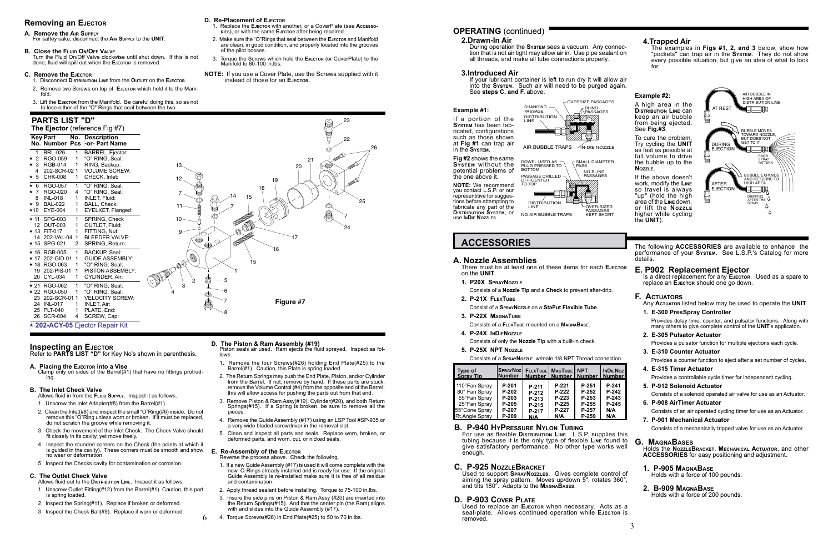### **OPERATING** (continued)

**ACCESSORIES** The following **ACCESSORIES** are available to enhance the performance of your **System**. See L.S.P.'s Catalog for more details.

## **E. P902 Replacement Ejector** Is a direct replacement for any **E**JECTOR. Used as a spare to

### **Example #2:**

A high area in the **Distribution Line** can keep an air bubble from being ejected. See **Fig.#3**.

To cure the problem, Try cycling the **UNIT** as fast as possible at full volume to drive the bubble up to the **Nozzle**.

If the above doesn't work, modify the **Line** so travel is always "up" (hold the high area of the **Line** down, or lift the **NozzLE** higher while cycling the **UNIT**).

**Example #1:**

If a portion of the **System** has been fabricated, configurations such as those shown at **Fig #1** can trap air in the **System**.

**Fig #2** shows the same **System** without the potential problems of the one above it.

**NOTE:** We recommend you contact L.S.P. or our representitive for suggestions before attempting to fabricate any part of the **Distribution System**, or use **InDie Nozzles**.

### **B. P-940 HyPressure Nylon Tubing**

For use as flexible **Distribution Line**. L.S.P. supplies this tubing because it is the only type of flexible **Line** found to give satisfactory performance. No other type works well enough.

### **C. P-925 NozzleBracket**

Used to support **SprayNozzles**. Gives complete control of aiming the spray pattern. Moves up/down 5", rotates 360°, and tilts 180°. Adapts to the **MagnaBases**.

### **D. P-903 Cover Plate**

Used to replace an **Ejector** when necessary. Acts as a seal-plate. Allows continued operation while EJECTOR is removed.

### **2.Drawn-In Air**

During operation the **System** sees a vacuum. Any connection that is not air tight may allow air in. Use pipe sealant on all threads, and make all tube connections properly.

### **3.Introduced Air**

If your lubricant container is left to run dry it will allow air into the **System**. Such air will need to be purged again. See **steps C. and F.** above.

### **4.Trapped Air**

The examples in **Figs #1, 2, and 3** below, show how "pockets" can trap air in the **System**. They do not show every possible situation, but give an idea of what to look for.

replace an **Ejector** should one go down.

AIR BUBBLE TRAPS  $\sqrt{}$ IN-DIE NOZZLE

### **F. Actuators**

Any **Actuator** listed below may be used to operate the **UNIT**.

- **1. E-300 PresSpray Controller** Provides delay time, counter, and pulsator functions. Along with many others to give complete control of the **UNIT**'s applicaton.
- **2. E-305 Pulsator Actuator** Provides a pulsator function for multiple ejections each cycle.
- **3. E-310 Counter Actuator**

Provides a counter function to eject after a set number of cycles.

- **4. E-315 Timer Actuator** Provides a controllable cycle timer for independent cycling.
- **5. P-912 Solenoid Actuator** Consists of a solenoid operated air valve for use as an Actuator.
- **6. P-908 AirTimer Actuator** Consists of an air operated cycling timer for use as an Actuator.
- **7. P-901 Mechanical Actuator** Consists of a mechanically tripped valve for use as an Actuator.

Piston seals air used. Ram ejects the fluid sprayed. Inspect as fol**lows** 

### **G. MagnaBases**

Holds the **NozzleBracket**, **Mechanical Actuator**, and other **ACCESSORIES** for easy positioning and adjustment.

### **1. P-905 MagnaBase**

Holds with a force of 100 pounds.

### **2. B-909 MagnaBase**

Holds with a force of 200 pounds.

### **A. Nozzle Assemblies**

There must be at least one of these items for each **Ejector** on the **UNIT**.

- **1. P20X SprayNozzle**
	- Consists of a **Nozzle Tip** and a **Check** to prevent after-drip.
- **2. P-21X FlexTube**
- Consist of a **SprayNozzle** on a **StaPut Flexible Tube**.
- **3. P-22X MagnaTube**
	- Consists of a **FlexTube** mounted on a **MagnaBase**.
- **4. P-24X InDieNozzle**

Consists of only the **Nozzle Tip** with a built-in check.

**5. P-25X NPT Nozzle**

Consists of a **SprayNozzle** w/male 1/8 NPT Thread connection.

6



### **The Ejector** (reference Fig #7) **Key Part No. Description**





### **Removing an Ejector**

**A. Remove the Air Supply**

For saftey sake, disconnect the **Air Supply** to the **UNIT**.

### **B. Close the FLUID ON/OFF VALVE**

Turn the Fluid On/Off Valve clockwise until shut down. If this is not done, fluid will spill out when the **Ejector** is removed.

### **C. Remove the Ejector**

- 1. Disconnect **Distribution Line** from the **Outlet** on the **Ejector**.
- 2. Remove two Screws on top of **Ejector** which hold it to the Manifold.
- 3. Lift the **Ejector** from the Manifold. Be careful doing this, so as not to lose either of the "O" Rings that seal between the two.

**D. Re-Placement of Ejector**

1. Replace the **Ejector** with another, or a CoverPlate (see **Accessories**), or with the same **Ejector** after being repaired. 2. Make sure the "O"Rings that seal between the **Ejector** and Manifold are clean, in good condition, and properly located into the grooves

of the pilot bosses.

Manifold to 80-100 in lbs.

3. Torque the Screws which hold the **Ejector** (or CoverPlate) to the

**NOTE:** If you use a Cover Plate, use the Screws supplied with it

instead of those for an **Ejector**.

### **D. The Piston & Ram Assembly (#19)**

- 1. Remove the four Screws(#26) holding End Plate(#25) to the Barrel(#1). Caution, this Plate is spring loaded.
- 2. The Return Springs may push the End Plate, Piston, and/or Cylinder from the Barrel. If not, remove by hand. If these parts are stuck, remove the Volume Control (#4) from the opposite end of the Barrel; this will allow access for pushing the parts out from that end.
- 3. Remove Piston & Ram Assy(#19), Cylinder(#20), and both Return Springs(#15). If a Spring is broken, be sure to remove all the pieces.
- 4. Remove the Guide Assembly (#17) using an LSP Tool #SP-935 or a very wide bladed screwdriver in the removal slot.
- 5. Clean and inspect all parts and seals. Replace worn, broken, or deformed parts, and worn, cut, or nicked seals.

| Type of<br><b>Spray Tip</b> | SprayNoz   FlexTube   MagTube   NPT<br><b>INumber</b> | Number   Number   Number   Number |         |         | <b>INDIENOZ</b> |
|-----------------------------|-------------------------------------------------------|-----------------------------------|---------|---------|-----------------|
| 110°Fan Spray               | P-201                                                 | P-211                             | $P-221$ | P-251   | P-241           |
| 80° Fan Spray               | P-202                                                 | P-212                             | P-222   | $P-252$ | P-242           |
| 65°Fan Spray                | P-203                                                 | P-213                             | $P-223$ | P-253   | $P-243$         |
| 25°Fan Spray                | P-205                                                 | P-215                             | $P-225$ | P-255   | P-245           |
| 55°Cone Spray               | P-207                                                 | P-217                             | P-227   | P-257   | N/A             |
| <b>Rt.Angle Spray</b>       | $P-209$                                               | N/A                               | N/A     | P-259   | N/A             |

### **E. Re-Assembly of the Ejector**

Reverse the process above. Check the following.

- 1. If a new Guide Assembly (#17) is used it will come complete with the new O-Rings already installed and is ready for use. If the original Guide Assembly is re-installed make sure it is free of all residue and contamination.
- 2. Apply thread sealant before installing. Torque to 75-100 in.lbs.
- 3. Insure the side pins on Piston & Ram Assy (#20) are inserted into the Return Springs(#15). And that the center pin (the Ram) aligns with and slides into the Guide Assembly (#17).
- 4. Torque Screws(#26) in End Plate(#25) to 50 to 70 in.lbs.

Refer to **PARTS LIST "D"** for Key No's shown in parenthesis.

### **A. Placing the Ejector into a Vise**

Clamp only on sides of the Barrel(#1) that have no fittings protruding.

### **B. The Inlet Check Valve**

Allows fluid in from the **Fluid Supply**. Inspect it as follows.

- 1. Unscrew the Inlet Adapter(#8) from the Barrel(#1).
- 2. Clean the Inlet(#8) and inspect the small "O"Ring(#6) inside. Do not remove this "O"Ring unless worn or broken. If it must be replaced, do not scratch the groove while removing it.
- 3. Check the movement of the Inlet Check. The Check Valve should fit closely in its cavity, yet move freely.
- 4. Inspect the rounded corners on the Check (the points at which it is guided in the cavity). These corners must be smooth and show no wear or deformation.
- 5. Inspect the Checks cavity for contamination or corrosion.

### **C. The Outlet Check Valve**

- Allows fluid out to the **Distribution Line**. Inspect it as follows. 1. Unscrew Outlet Fitting(#12) from the Barrel(#1). Caution, this part is spring loaded.
- 2. Inspect the Spring(#11). Replace if broken or deformed.
- 3. Inspect the Check Ball(#9). Replace if worn or deformed.

## **PARTS LIST "D"**

0 **202-ACY-05** Ejector Repair Kit

### **Inspecting an EJECTOR**



23

Q

26